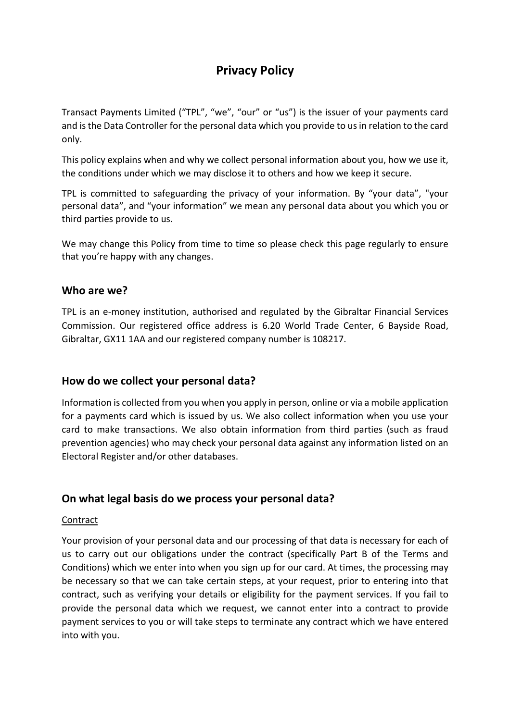# **Privacy Policy**

Transact Payments Limited ("TPL", "we", "our" or "us") is the issuer of your payments card and is the Data Controller for the personal data which you provide to us in relation to the card only.

This policy explains when and why we collect personal information about you, how we use it, the conditions under which we may disclose it to others and how we keep it secure.

TPL is committed to safeguarding the privacy of your information. By "your data", "your personal data", and "your information" we mean any personal data about you which you or third parties provide to us.

We may change this Policy from time to time so please check this page regularly to ensure that you're happy with any changes.

#### **Who are we?**

TPL is an e-money institution, authorised and regulated by the Gibraltar Financial Services Commission. Our registered office address is 6.20 World Trade Center, 6 Bayside Road, Gibraltar, GX11 1AA and our registered company number is 108217.

## **How do we collect your personal data?**

Information is collected from you when you apply in person, online or via a mobile application for a payments card which is issued by us. We also collect information when you use your card to make transactions. We also obtain information from third parties (such as fraud prevention agencies) who may check your personal data against any information listed on an Electoral Register and/or other databases.

## **On what legal basis do we process your personal data?**

#### Contract

Your provision of your personal data and our processing of that data is necessary for each of us to carry out our obligations under the contract (specifically Part B of the Terms and Conditions) which we enter into when you sign up for our card. At times, the processing may be necessary so that we can take certain steps, at your request, prior to entering into that contract, such as verifying your details or eligibility for the payment services. If you fail to provide the personal data which we request, we cannot enter into a contract to provide payment services to you or will take steps to terminate any contract which we have entered into with you.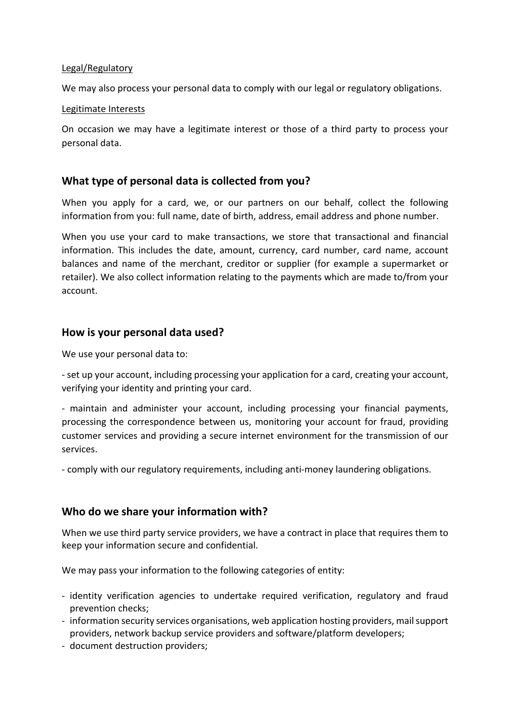#### Legal/Regulatory

We may also process your personal data to comply with our legal or regulatory obligations.

#### Legitimate Interests

On occasion we may have a legitimate interest or those of a third party to process your personal data.

## **What type of personal data is collected from you?**

When you apply for a card, we, or our partners on our behalf, collect the following information from you: full name, date of birth, address, email address and phone number.

When you use your card to make transactions, we store that transactional and financial information. This includes the date, amount, currency, card number, card name, account balances and name of the merchant, creditor or supplier (for example a supermarket or retailer). We also collect information relating to the payments which are made to/from your account.

## **How is your personal data used?**

We use your personal data to:

- set up your account, including processing your application for a card, creating your account, verifying your identity and printing your card.

- maintain and administer your account, including processing your financial payments, processing the correspondence between us, monitoring your account for fraud, providing customer services and providing a secure internet environment for the transmission of our services.

- comply with our regulatory requirements, including anti-money laundering obligations.

## **Who do we share your information with?**

When we use third party service providers, we have a contract in place that requires them to keep your information secure and confidential.

We may pass your information to the following categories of entity:

- identity verification agencies to undertake required verification, regulatory and fraud prevention checks;
- information security services organisations, web application hosting providers, mail support providers, network backup service providers and software/platform developers;
- document destruction providers;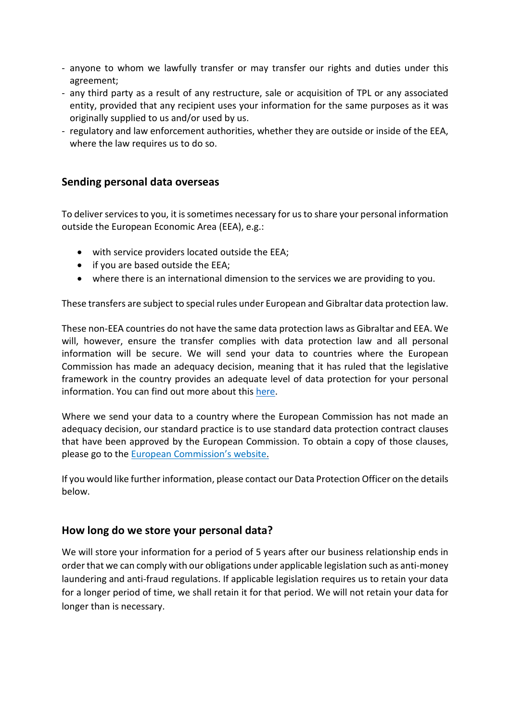- anyone to whom we lawfully transfer or may transfer our rights and duties under this agreement;
- any third party as a result of any restructure, sale or acquisition of TPL or any associated entity, provided that any recipient uses your information for the same purposes as it was originally supplied to us and/or used by us.
- regulatory and law enforcement authorities, whether they are outside or inside of the EEA, where the law requires us to do so.

## **Sending personal data overseas**

To deliver services to you, it is sometimes necessary for us to share your personal information outside the European Economic Area (EEA), e.g.:

- with service providers located outside the EEA;
- if you are based outside the EEA;
- where there is an international dimension to the services we are providing to you.

These transfers are subject to special rules under European and Gibraltar data protection law.

These non-EEA countries do not have the same data protection laws as Gibraltar and EEA. We will, however, ensure the transfer complies with data protection law and all personal information will be secure. We will send your data to countries where the European Commission has made an adequacy decision, meaning that it has ruled that the legislative framework in the country provides an adequate level of data protection for your personal information. You can find out more about this [here.](https://ec.europa.eu/info/law/law-topic/data-protection/data-transfers-outside-eu/adequacy-protection-personal-data-non-eu-countries_en)

Where we send your data to a country where the European Commission has not made an adequacy decision, our standard practice is to use standard data protection contract clauses that have been approved by the European Commission. To obtain a copy of those clauses, please go to the European [Commission's](https://ec.europa.eu/info/law/law-topic/data-protection/international-dimension-data-protection/standard-contractual-clauses-scc_en) website.

If you would like further information, please contact our Data Protection Officer on the details below.

#### **How long do we store your personal data?**

We will store your information for a period of 5 years after our business relationship ends in order that we can comply with our obligations under applicable legislation such as anti-money laundering and anti-fraud regulations. If applicable legislation requires us to retain your data for a longer period of time, we shall retain it for that period. We will not retain your data for longer than is necessary.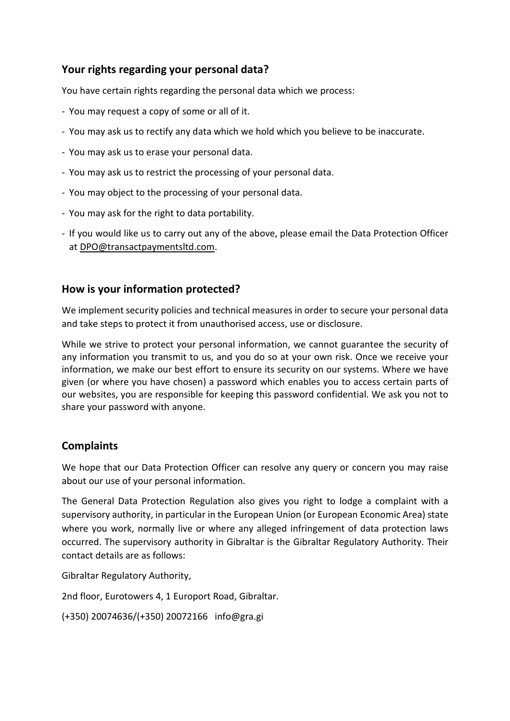## **Your rights regarding your personal data?**

You have certain rights regarding the personal data which we process:

- You may request a copy of some or all of it.
- You may ask us to rectify any data which we hold which you believe to be inaccurate.
- You may ask us to erase your personal data.
- You may ask us to restrict the processing of your personal data.
- You may object to the processing of your personal data.
- You may ask for the right to data portability.
- If you would like us to carry out any of the above, please email the Data Protection Officer at [DPO@transactpaymentsltd.com.](mailto:DPO@transactpaymentsltd.com)

## **How is your information protected?**

We implement security policies and technical measures in order to secure your personal data and take steps to protect it from unauthorised access, use or disclosure.

While we strive to protect your personal information, we cannot guarantee the security of any information you transmit to us, and you do so at your own risk. Once we receive your information, we make our best effort to ensure its security on our systems. Where we have given (or where you have chosen) a password which enables you to access certain parts of our websites, you are responsible for keeping this password confidential. We ask you not to share your password with anyone.

## **Complaints**

We hope that our Data Protection Officer can resolve any query or concern you may raise about our use of your personal information.

The General Data Protection [Regulation](http://eur-lex.europa.eu/legal-content/EN/TXT/PDF/?uri=CELEX:32016R0679&from=EN) also gives you right to lodge a complaint with a supervisory authority, in particular in the European Union (or European Economic Area) state where you work, normally live or where any alleged infringement of data protection laws occurred. The supervisory authority in Gibraltar is the Gibraltar Regulatory Authority. Their contact details are as follows:

Gibraltar Regulatory Authority,

2nd floor, Eurotowers 4, 1 Europort Road, Gibraltar.

(+350) 20074636/(+350) 20072166 info@gra.gi